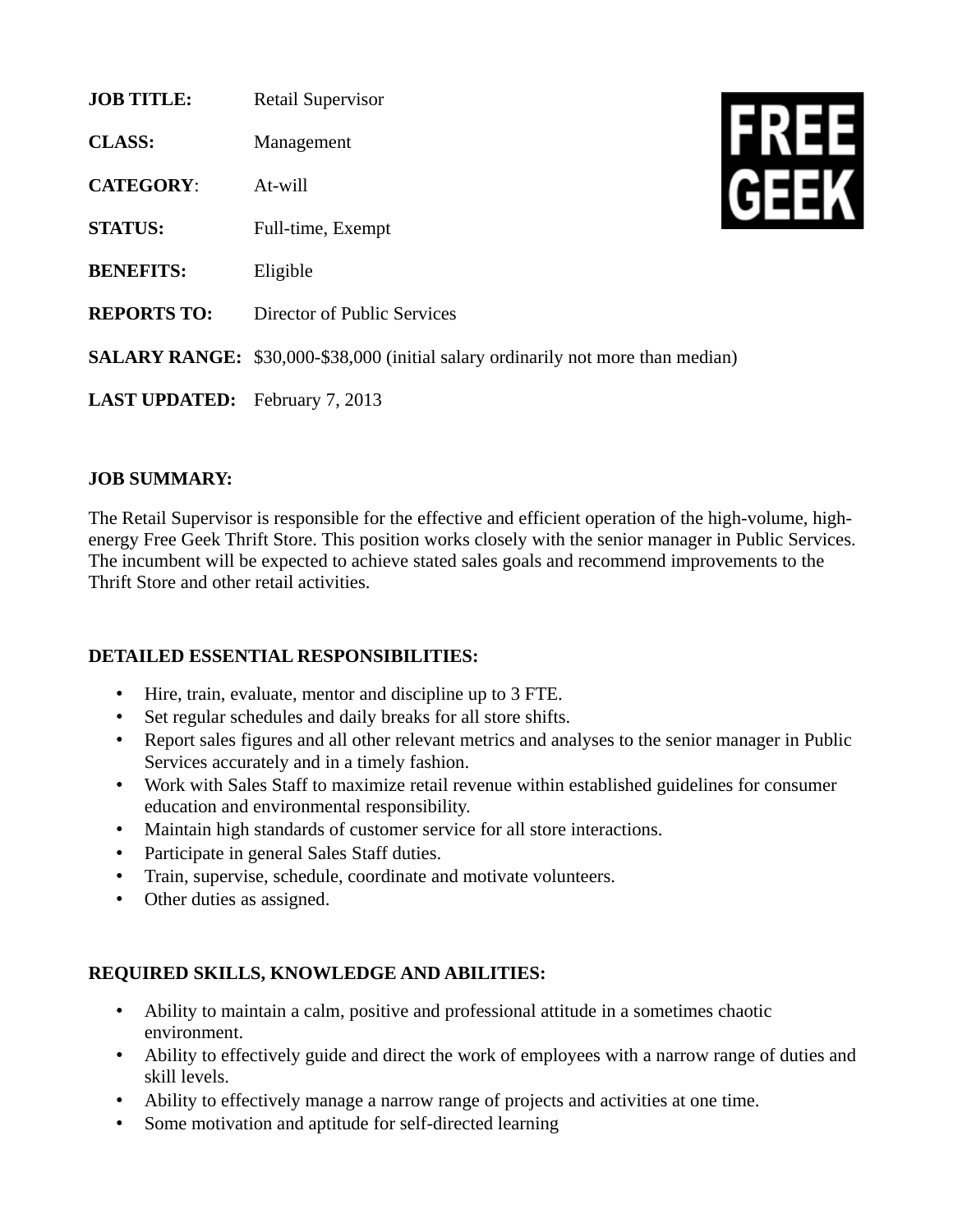| <b>JOB TITLE:</b>    | <b>Retail Supervisor</b>                                                                |  |
|----------------------|-----------------------------------------------------------------------------------------|--|
| <b>CLASS:</b>        | Management                                                                              |  |
| <b>CATEGORY:</b>     | At-will                                                                                 |  |
| <b>STATUS:</b>       | Full-time, Exempt                                                                       |  |
| <b>BENEFITS:</b>     | Eligible                                                                                |  |
| <b>REPORTS TO:</b>   | Director of Public Services                                                             |  |
|                      | <b>SALARY RANGE:</b> \$30,000-\$38,000 (initial salary ordinarily not more than median) |  |
| <b>LAST UPDATED:</b> | February 7, 2013                                                                        |  |

## **JOB SUMMARY:**

The Retail Supervisor is responsible for the effective and efficient operation of the high-volume, highenergy Free Geek Thrift Store. This position works closely with the senior manager in Public Services. The incumbent will be expected to achieve stated sales goals and recommend improvements to the Thrift Store and other retail activities.

## **DETAILED ESSENTIAL RESPONSIBILITIES:**

- Hire, train, evaluate, mentor and discipline up to 3 FTE.
- Set regular schedules and daily breaks for all store shifts.
- Report sales figures and all other relevant metrics and analyses to the senior manager in Public Services accurately and in a timely fashion.
- Work with Sales Staff to maximize retail revenue within established guidelines for consumer education and environmental responsibility.
- Maintain high standards of customer service for all store interactions.
- Participate in general Sales Staff duties.
- Train, supervise, schedule, coordinate and motivate volunteers.
- Other duties as assigned.

## **REQUIRED SKILLS, KNOWLEDGE AND ABILITIES:**

- Ability to maintain a calm, positive and professional attitude in a sometimes chaotic environment.
- Ability to effectively guide and direct the work of employees with a narrow range of duties and skill levels.
- Ability to effectively manage a narrow range of projects and activities at one time.
- Some motivation and aptitude for self-directed learning